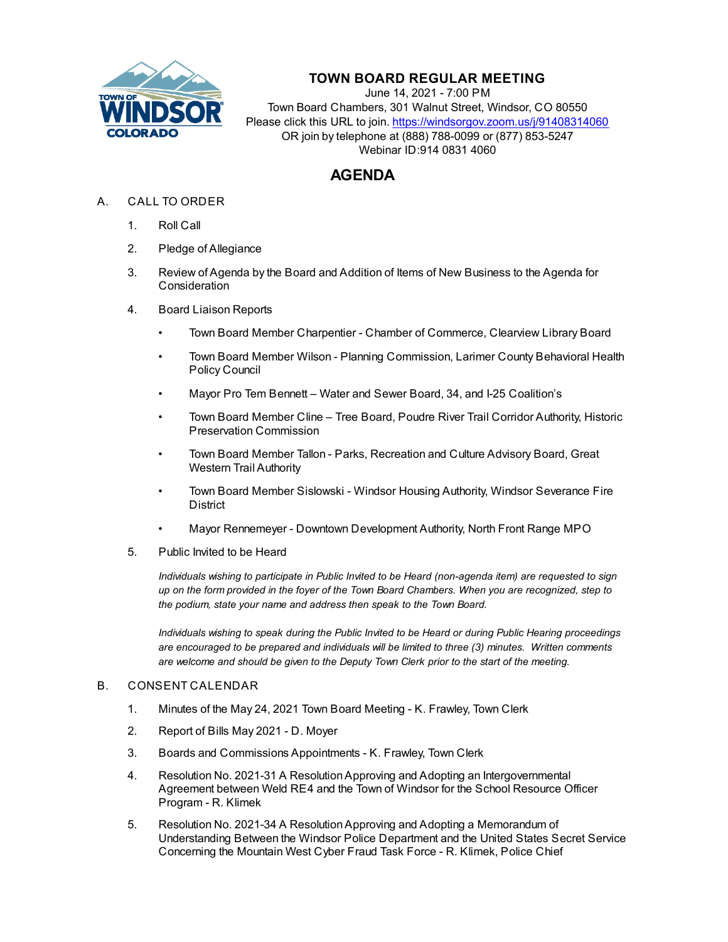

## **TOWN BOARD REGULAR MEETING**

June 14, 2021 - 7:00 PM Town Board Chambers, 301 Walnut Street, Windsor, CO 80550 Please click this URL to join. https://windsorgov.zoom.us/j/91408314060 OR join by telephone at (888) 788-0099 or (877) 853-5247 Webinar ID:914 0831 4060

# **AGENDA**

- A. CALL TO ORDER
	- 1. Roll Call
	- 2. Pledge of Allegiance
	- 3. Review of Agenda by the Board and Addition of Items of New Business to the Agenda for **Consideration**
	- 4. Board Liaison Reports
		- Town Board Member Charpentier Chamber of Commerce, Clearview Library Board
		- Town Board Member Wilson Planning Commission, Larimer County Behavioral Health Policy Council
		- Mayor Pro Tem Bennett Water and Sewer Board, 34, and I-25 Coalition's
		- Town Board Member Cline Tree Board, Poudre River Trail Corridor Authority, Historic Preservation Commission
		- Town Board Member Tallon Parks, Recreation and Culture Advisory Board, Great Western Trail Authority
		- Town Board Member Sislowski Windsor Housing Authority, Windsor Severance Fire District
		- Mayor Rennemeyer Downtown Development Authority, North Front Range MPO
	- 5. Public Invited to be Heard

*Individuals wishing to participate in Public Invited to be Heard (non-agenda item) are requested to sign up on the form provided in the foyer of the Town Board Chambers. When you are recognized, step to the podium, state your name and address then speak to the Town Board.*

*Individuals wishing to speak during the Public Invited to be Heard or during Public Hearing proceedings are encouraged to be prepared and individuals will be limited to three (3) minutes. Written comments are welcome and should be given to the Deputy Town Clerk prior to the start of the meeting.*

### B. CONSENT CALENDAR

- 1. [Minutes of the May 24, 2021 Town Board Meeting K. Frawley, Town Clerk](file:///C:/Windows/TEMP/CoverSheet.aspx?ItemID=1458&MeetingID=255)
- 2. [Report of Bills May 2021 D. Moyer](file:///C:/Windows/TEMP/CoverSheet.aspx?ItemID=1468&MeetingID=255)
- 3. [Boards and Commissions Appointments K. Frawley, Town Clerk](file:///C:/Windows/TEMP/CoverSheet.aspx?ItemID=1475&MeetingID=255)
- 4. Resolution No. 2021-31 A Resolution Approving and Adopting an Intergovernmental [Agreement between Weld RE4 and the Town of Windsor for the School Resource Officer](file:///C:/Windows/TEMP/CoverSheet.aspx?ItemID=1471&MeetingID=255) Program - R. Klimek
- 5. Resolution No. 2021-34 A Resolution Approving and Adopting a Memorandum of [Understanding Between the Windsor Police Department and the United States Secret Service](file:///C:/Windows/TEMP/CoverSheet.aspx?ItemID=1451&MeetingID=255) Concerning the Mountain West Cyber Fraud Task Force - R. Klimek, Police Chief